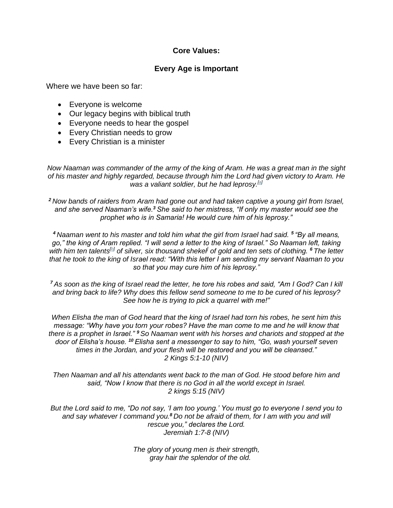## **Core Values:**

## **Every Age is Important**

Where we have been so far:

- Everyone is welcome
- Our legacy begins with biblical truth
- Everyone needs to hear the gospel
- Every Christian needs to grow
- Every Christian is a minister

*Now Naaman was commander of the army of the king of Aram. He was a great man in the sight of his master and highly regarded, because through him the Lord had given victory to Aram. He was a valiant soldier, but he had leprosy.[\[a\]](https://www.biblegateway.com/passage/?search=2+kings+5&version=NIV#fen-NIV-9649a)*

*<sup>2</sup> Now bands of raiders from Aram had gone out and had taken captive a young girl from Israel, and she served Naaman's wife.<sup>3</sup> She said to her mistress, "If only my master would see the prophet who is in Samaria! He would cure him of his leprosy."*

*<sup>4</sup> Naaman went to his master and told him what the girl from Israel had said. <sup>5</sup> "By all means, go," the king of Aram replied. "I will send a letter to the king of Israel." So Naaman left, taking with him ten talents[\[b\]](https://www.biblegateway.com/passage/?search=2+kings+5&version=NIV#fen-NIV-9653b) of silver, six thousand shekel] of gold and ten sets of clothing. <sup>6</sup> The letter that he took to the king of Israel read: "With this letter I am sending my servant Naaman to you so that you may cure him of his leprosy."*

*<sup>7</sup> As soon as the king of Israel read the letter, he tore his robes and said, "Am I God? Can I kill and bring back to life? Why does this fellow send someone to me to be cured of his leprosy? See how he is trying to pick a quarrel with me!"*

*When Elisha the man of God heard that the king of Israel had torn his robes, he sent him this message: "Why have you torn your robes? Have the man come to me and he will know that there is a prophet in Israel." <sup>9</sup> So Naaman went with his horses and chariots and stopped at the door of Elisha's house. <sup>10</sup> Elisha sent a messenger to say to him, "Go, wash yourself seven times in the Jordan, and your flesh will be restored and you will be cleansed." 2 Kings 5:1-10 (NIV)*

*Then Naaman and all his attendants went back to the man of God. He stood before him and said, "Now I know that there is no God in all the world except in Israel. 2 kings 5:15 (NIV)*

*But the Lord said to me, "Do not say, 'I am too young.' You must go to everyone I send you to and say whatever I command you.<sup>8</sup> Do not be afraid of them, for I am with you and will rescue you," declares the Lord. Jeremiah 1:7-8 (NIV)*

> *The glory of young men is their strength, gray hair the splendor of the old.*